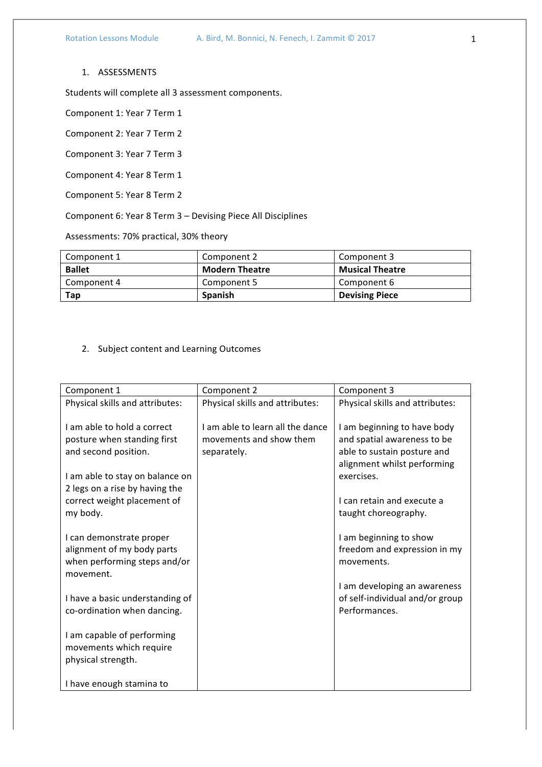## 1. ASSESSMENTS

Students will complete all 3 assessment components.

Component 1: Year 7 Term 1

Component 2: Year 7 Term 2

Component 3: Year 7 Term 3

Component 4: Year 8 Term 1

Component 5: Year 8 Term 2

Component 6: Year 8 Term 3 - Devising Piece All Disciplines

Assessments: 70% practical, 30% theory

| Component 1   | Component 2           | Component 3            |
|---------------|-----------------------|------------------------|
| <b>Ballet</b> | <b>Modern Theatre</b> | <b>Musical Theatre</b> |
| Component 4   | Component 5           | Component 6            |
| Tap           | <b>Spanish</b>        | <b>Devising Piece</b>  |

## 2. Subject content and Learning Outcomes

| Component 1                                                                                         | Component 2                                                                | Component 3                                                                               |
|-----------------------------------------------------------------------------------------------------|----------------------------------------------------------------------------|-------------------------------------------------------------------------------------------|
| Physical skills and attributes:                                                                     | Physical skills and attributes:                                            | Physical skills and attributes:                                                           |
| Lam able to hold a correct<br>posture when standing first<br>and second position.                   | I am able to learn all the dance<br>movements and show them<br>separately. | I am beginning to have body<br>and spatial awareness to be<br>able to sustain posture and |
| I am able to stay on balance on<br>2 legs on a rise by having the                                   |                                                                            | alignment whilst performing<br>exercises.                                                 |
| correct weight placement of<br>my body.                                                             |                                                                            | I can retain and execute a<br>taught choreography.                                        |
| I can demonstrate proper<br>alignment of my body parts<br>when performing steps and/or<br>movement. |                                                                            | I am beginning to show<br>freedom and expression in my<br>movements.                      |
| I have a basic understanding of<br>co-ordination when dancing.                                      |                                                                            | I am developing an awareness<br>of self-individual and/or group<br>Performances.          |
| I am capable of performing<br>movements which require<br>physical strength.                         |                                                                            |                                                                                           |
| I have enough stamina to                                                                            |                                                                            |                                                                                           |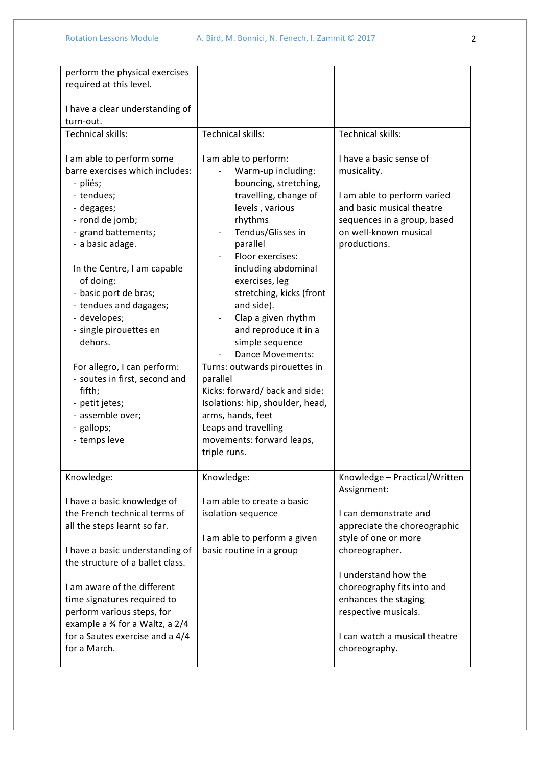| perform the physical exercises   |                                  |                               |
|----------------------------------|----------------------------------|-------------------------------|
| required at this level.          |                                  |                               |
|                                  |                                  |                               |
|                                  |                                  |                               |
| I have a clear understanding of  |                                  |                               |
| turn-out.                        |                                  |                               |
| Technical skills:                | Technical skills:                | Technical skills:             |
|                                  |                                  |                               |
|                                  |                                  | I have a basic sense of       |
| I am able to perform some        | I am able to perform:            |                               |
| barre exercises which includes:  | Warm-up including:               | musicality.                   |
| - pliés;                         | bouncing, stretching,            |                               |
| - tendues;                       | travelling, change of            | I am able to perform varied   |
| - degages;                       | levels, various                  | and basic musical theatre     |
| - rond de jomb;                  | rhythms                          |                               |
|                                  |                                  | sequences in a group, based   |
| - grand battements;              | Tendus/Glisses in                | on well-known musical         |
| - a basic adage.                 | parallel                         | productions.                  |
|                                  | Floor exercises:                 |                               |
| In the Centre, I am capable      | including abdominal              |                               |
| of doing:                        | exercises, leg                   |                               |
|                                  |                                  |                               |
| - basic port de bras;            | stretching, kicks (front         |                               |
| - tendues and dagages;           | and side).                       |                               |
| - developes;                     | Clap a given rhythm              |                               |
| - single pirouettes en           | and reproduce it in a            |                               |
| dehors.                          | simple sequence                  |                               |
|                                  | Dance Movements:                 |                               |
|                                  |                                  |                               |
| For allegro, I can perform:      | Turns: outwards pirouettes in    |                               |
| - soutes in first, second and    | parallel                         |                               |
| fifth;                           | Kicks: forward/back and side:    |                               |
| - petit jetes;                   | Isolations: hip, shoulder, head, |                               |
| - assemble over;                 | arms, hands, feet                |                               |
| - gallops;                       | Leaps and travelling             |                               |
|                                  |                                  |                               |
| - temps leve                     | movements: forward leaps,        |                               |
|                                  | triple runs.                     |                               |
|                                  |                                  |                               |
| Knowledge:                       | Knowledge:                       | Knowledge - Practical/Written |
|                                  |                                  | Assignment:                   |
| I have a basic knowledge of      | I am able to create a basic      |                               |
|                                  |                                  |                               |
| the French technical terms of    | isolation sequence               | I can demonstrate and         |
| all the steps learnt so far.     |                                  | appreciate the choreographic  |
|                                  | I am able to perform a given     | style of one or more          |
| I have a basic understanding of  | basic routine in a group         | choreographer.                |
| the structure of a ballet class. |                                  |                               |
|                                  |                                  | I understand how the          |
|                                  |                                  |                               |
| I am aware of the different      |                                  | choreography fits into and    |
| time signatures required to      |                                  | enhances the staging          |
| perform various steps, for       |                                  | respective musicals.          |
| example a 34 for a Waltz, a 2/4  |                                  |                               |
| for a Sautes exercise and a 4/4  |                                  | I can watch a musical theatre |
| for a March.                     |                                  | choreography.                 |
|                                  |                                  |                               |
|                                  |                                  |                               |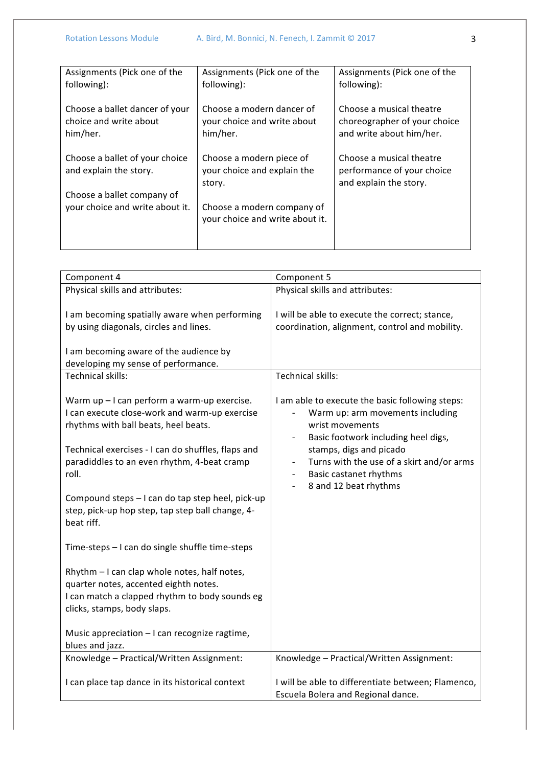| Assignments (Pick one of the<br>following):                          | Assignments (Pick one of the<br>following):                          | Assignments (Pick one of the<br>following):                                          |
|----------------------------------------------------------------------|----------------------------------------------------------------------|--------------------------------------------------------------------------------------|
| Choose a ballet dancer of your<br>choice and write about<br>him/her. | Choose a modern dancer of<br>your choice and write about<br>him/her. | Choose a musical theatre<br>choreographer of your choice<br>and write about him/her. |
| Choose a ballet of your choice<br>and explain the story.             | Choose a modern piece of<br>your choice and explain the<br>story.    | Choose a musical theatre<br>performance of your choice<br>and explain the story.     |
| Choose a ballet company of                                           |                                                                      |                                                                                      |
| your choice and write about it.                                      | Choose a modern company of<br>your choice and write about it.        |                                                                                      |
|                                                                      |                                                                      |                                                                                      |

| Component 4                                                                                                                                                            | Component 5                                                                                                                                                               |
|------------------------------------------------------------------------------------------------------------------------------------------------------------------------|---------------------------------------------------------------------------------------------------------------------------------------------------------------------------|
| Physical skills and attributes:                                                                                                                                        | Physical skills and attributes:                                                                                                                                           |
| I am becoming spatially aware when performing<br>by using diagonals, circles and lines.                                                                                | I will be able to execute the correct; stance,<br>coordination, alignment, control and mobility.                                                                          |
| I am becoming aware of the audience by<br>developing my sense of performance.                                                                                          |                                                                                                                                                                           |
| Technical skills:                                                                                                                                                      | Technical skills:                                                                                                                                                         |
| Warm up - I can perform a warm-up exercise.<br>I can execute close-work and warm-up exercise<br>rhythms with ball beats, heel beats.                                   | I am able to execute the basic following steps:<br>Warm up: arm movements including<br>wrist movements<br>Basic footwork including heel digs,<br>$\overline{\phantom{a}}$ |
| Technical exercises - I can do shuffles, flaps and<br>paradiddles to an even rhythm, 4-beat cramp<br>roll.                                                             | stamps, digs and picado<br>Turns with the use of a skirt and/or arms<br>Basic castanet rhythms<br>$\overline{\phantom{a}}$<br>8 and 12 beat rhythms                       |
| Compound steps - I can do tap step heel, pick-up<br>step, pick-up hop step, tap step ball change, 4-<br>beat riff.                                                     |                                                                                                                                                                           |
| Time-steps - I can do single shuffle time-steps                                                                                                                        |                                                                                                                                                                           |
| Rhythm - I can clap whole notes, half notes,<br>quarter notes, accented eighth notes.<br>I can match a clapped rhythm to body sounds eg<br>clicks, stamps, body slaps. |                                                                                                                                                                           |
| Music appreciation - I can recognize ragtime,<br>blues and jazz.                                                                                                       |                                                                                                                                                                           |
| Knowledge - Practical/Written Assignment:                                                                                                                              | Knowledge - Practical/Written Assignment:                                                                                                                                 |
| I can place tap dance in its historical context                                                                                                                        | I will be able to differentiate between; Flamenco,<br>Escuela Bolera and Regional dance.                                                                                  |